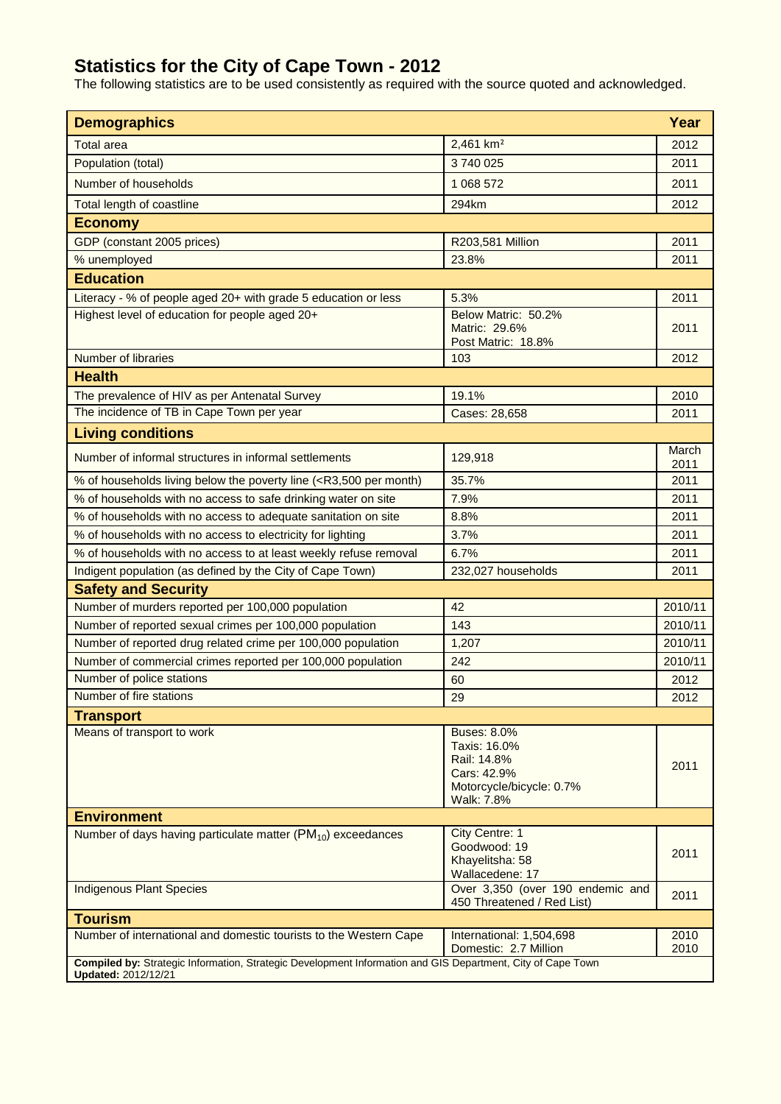## **Statistics for the City of Cape Town - 2012**

The following statistics are to be used consistently as required with the source quoted and acknowledged.

| <b>Demographics</b>                                                                                                                |                                                                                                            | Year          |  |  |
|------------------------------------------------------------------------------------------------------------------------------------|------------------------------------------------------------------------------------------------------------|---------------|--|--|
| <b>Total area</b>                                                                                                                  | 2,461 km <sup>2</sup>                                                                                      | 2012          |  |  |
| Population (total)                                                                                                                 | 3740025                                                                                                    | 2011          |  |  |
| Number of households                                                                                                               | 1 068 572                                                                                                  | 2011          |  |  |
| Total length of coastline                                                                                                          | 294km                                                                                                      | 2012          |  |  |
|                                                                                                                                    |                                                                                                            |               |  |  |
| <b>Economy</b>                                                                                                                     |                                                                                                            |               |  |  |
| GDP (constant 2005 prices)                                                                                                         | R203,581 Million                                                                                           | 2011          |  |  |
| % unemployed                                                                                                                       | 23.8%                                                                                                      | 2011          |  |  |
| <b>Education</b>                                                                                                                   |                                                                                                            |               |  |  |
| Literacy - % of people aged 20+ with grade 5 education or less                                                                     | 5.3%                                                                                                       | 2011          |  |  |
| Highest level of education for people aged 20+                                                                                     | Below Matric: 50.2%<br>Matric: 29.6%<br>Post Matric: 18.8%                                                 | 2011          |  |  |
| Number of libraries                                                                                                                | 103                                                                                                        | 2012          |  |  |
| <b>Health</b>                                                                                                                      |                                                                                                            |               |  |  |
| The prevalence of HIV as per Antenatal Survey                                                                                      | 19.1%                                                                                                      | 2010          |  |  |
| The incidence of TB in Cape Town per year                                                                                          | Cases: 28,658                                                                                              | 2011          |  |  |
| <b>Living conditions</b>                                                                                                           |                                                                                                            |               |  |  |
| Number of informal structures in informal settlements                                                                              | 129,918                                                                                                    | March<br>2011 |  |  |
| % of households living below the poverty line ( <r3,500 month)<="" per="" td=""><td>35.7%</td><td>2011</td></r3,500>               | 35.7%                                                                                                      | 2011          |  |  |
| % of households with no access to safe drinking water on site                                                                      | 7.9%                                                                                                       | 2011          |  |  |
| % of households with no access to adequate sanitation on site                                                                      | 8.8%                                                                                                       | 2011          |  |  |
| % of households with no access to electricity for lighting                                                                         | 3.7%                                                                                                       | 2011          |  |  |
| % of households with no access to at least weekly refuse removal                                                                   | 6.7%                                                                                                       | 2011          |  |  |
| Indigent population (as defined by the City of Cape Town)                                                                          | 232,027 households                                                                                         | 2011          |  |  |
| <b>Safety and Security</b>                                                                                                         |                                                                                                            |               |  |  |
| Number of murders reported per 100,000 population                                                                                  | 42                                                                                                         | 2010/11       |  |  |
| Number of reported sexual crimes per 100,000 population                                                                            | 143                                                                                                        | 2010/11       |  |  |
| Number of reported drug related crime per 100,000 population                                                                       | 1,207                                                                                                      | 2010/11       |  |  |
| Number of commercial crimes reported per 100,000 population                                                                        | 242                                                                                                        | 2010/11       |  |  |
| Number of police stations                                                                                                          | 60                                                                                                         | 2012          |  |  |
| Number of fire stations                                                                                                            | 29                                                                                                         | 2012          |  |  |
| <b>Transport</b>                                                                                                                   |                                                                                                            |               |  |  |
| Means of transport to work                                                                                                         | <b>Buses: 8.0%</b><br>Taxis: 16.0%<br>Rail: 14.8%<br>Cars: 42.9%<br>Motorcycle/bicycle: 0.7%<br>Walk: 7.8% | 2011          |  |  |
| <b>Environment</b>                                                                                                                 |                                                                                                            |               |  |  |
| Number of days having particulate matter $(PM_{10})$ exceedances                                                                   | City Centre: 1<br>Goodwood: 19<br>Khayelitsha: 58<br>Wallacedene: 17                                       | 2011          |  |  |
| <b>Indigenous Plant Species</b>                                                                                                    | Over 3,350 (over 190 endemic and<br>450 Threatened / Red List)                                             | 2011          |  |  |
| <b>Tourism</b>                                                                                                                     |                                                                                                            |               |  |  |
| Number of international and domestic tourists to the Western Cape                                                                  | International: 1,504,698<br>Domestic: 2.7 Million                                                          | 2010<br>2010  |  |  |
| Compiled by: Strategic Information, Strategic Development Information and GIS Department, City of Cape Town<br>Updated: 2012/12/21 |                                                                                                            |               |  |  |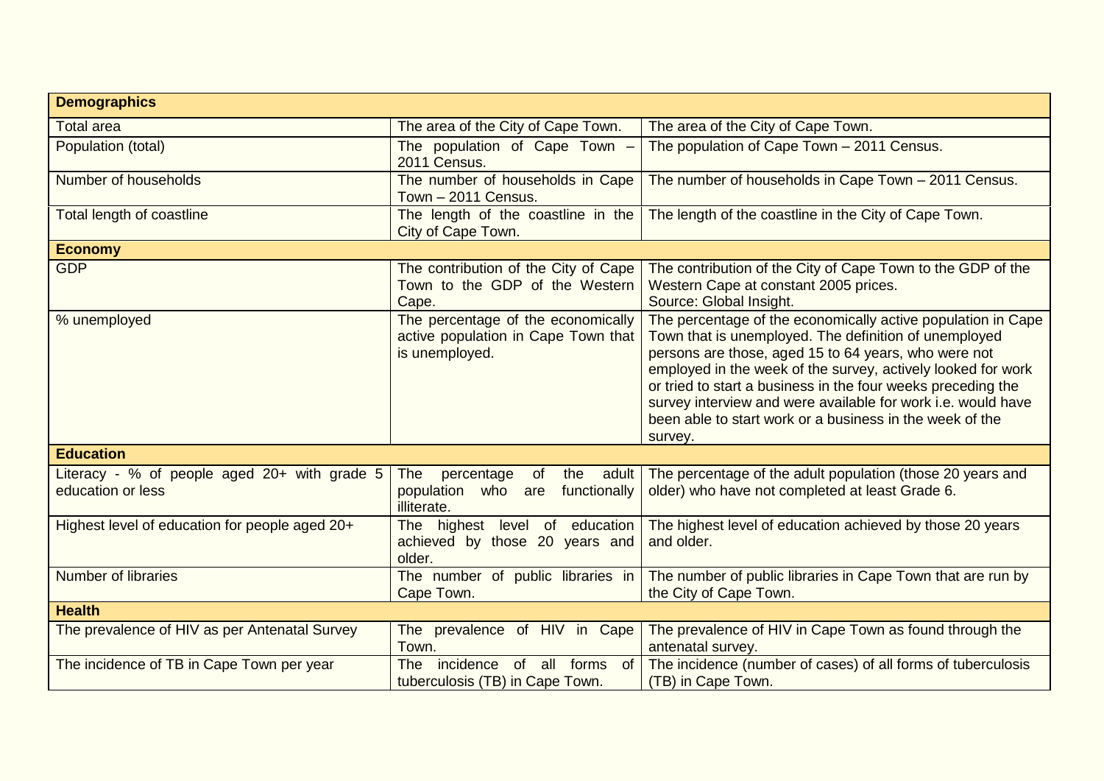| <b>Demographics</b>                                               |                                                                                             |                                                                                                                                                                                                                                                                                                                                                                                                                                                      |  |  |
|-------------------------------------------------------------------|---------------------------------------------------------------------------------------------|------------------------------------------------------------------------------------------------------------------------------------------------------------------------------------------------------------------------------------------------------------------------------------------------------------------------------------------------------------------------------------------------------------------------------------------------------|--|--|
| <b>Total area</b>                                                 | The area of the City of Cape Town.                                                          | The area of the City of Cape Town.                                                                                                                                                                                                                                                                                                                                                                                                                   |  |  |
| Population (total)                                                | The population of Cape Town -<br>2011 Census.                                               | The population of Cape Town - 2011 Census.                                                                                                                                                                                                                                                                                                                                                                                                           |  |  |
| Number of households                                              | The number of households in Cape<br>Town - 2011 Census.                                     | The number of households in Cape Town - 2011 Census.                                                                                                                                                                                                                                                                                                                                                                                                 |  |  |
| Total length of coastline                                         | The length of the coastline in the<br>City of Cape Town.                                    | The length of the coastline in the City of Cape Town.                                                                                                                                                                                                                                                                                                                                                                                                |  |  |
| <b>Economy</b>                                                    |                                                                                             |                                                                                                                                                                                                                                                                                                                                                                                                                                                      |  |  |
| <b>GDP</b>                                                        | The contribution of the City of Cape<br>Town to the GDP of the Western<br>Cape.             | The contribution of the City of Cape Town to the GDP of the<br>Western Cape at constant 2005 prices.<br>Source: Global Insight.                                                                                                                                                                                                                                                                                                                      |  |  |
| % unemployed                                                      | The percentage of the economically<br>active population in Cape Town that<br>is unemployed. | The percentage of the economically active population in Cape<br>Town that is unemployed. The definition of unemployed<br>persons are those, aged 15 to 64 years, who were not<br>employed in the week of the survey, actively looked for work<br>or tried to start a business in the four weeks preceding the<br>survey interview and were available for work i.e. would have<br>been able to start work or a business in the week of the<br>survey. |  |  |
| <b>Education</b>                                                  |                                                                                             |                                                                                                                                                                                                                                                                                                                                                                                                                                                      |  |  |
| Literacy - % of people aged 20+ with grade 5<br>education or less | the adult<br>The<br>percentage<br>of<br>population who are<br>functionally<br>illiterate.   | The percentage of the adult population (those 20 years and<br>older) who have not completed at least Grade 6.                                                                                                                                                                                                                                                                                                                                        |  |  |
| Highest level of education for people aged 20+                    | The highest level of education<br>achieved by those 20 years and<br>older.                  | The highest level of education achieved by those 20 years<br>and older.                                                                                                                                                                                                                                                                                                                                                                              |  |  |
| Number of libraries                                               | The number of public libraries in<br>Cape Town.                                             | The number of public libraries in Cape Town that are run by<br>the City of Cape Town.                                                                                                                                                                                                                                                                                                                                                                |  |  |
| <b>Health</b>                                                     |                                                                                             |                                                                                                                                                                                                                                                                                                                                                                                                                                                      |  |  |
| The prevalence of HIV as per Antenatal Survey                     | The prevalence of HIV in Cape<br>Town.                                                      | The prevalence of HIV in Cape Town as found through the<br>antenatal survey.                                                                                                                                                                                                                                                                                                                                                                         |  |  |
| The incidence of TB in Cape Town per year                         | incidence<br>of all forms<br>of<br><b>The</b><br>tuberculosis (TB) in Cape Town.            | The incidence (number of cases) of all forms of tuberculosis<br>(TB) in Cape Town.                                                                                                                                                                                                                                                                                                                                                                   |  |  |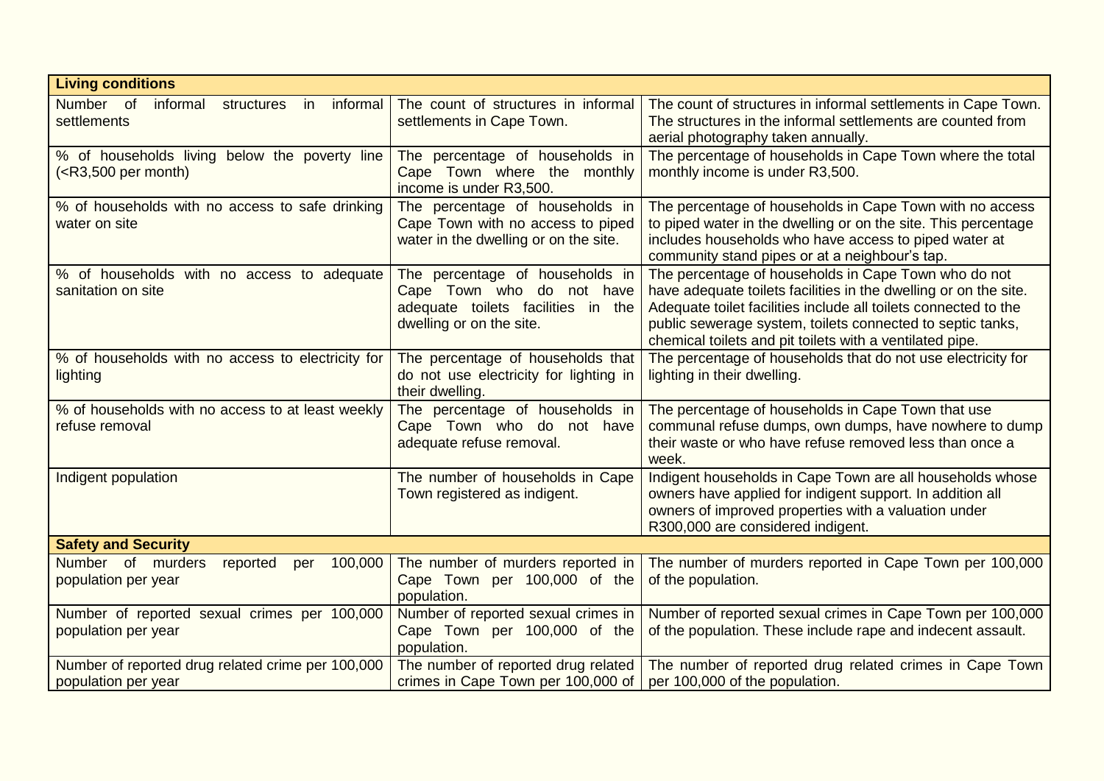| <b>Living conditions</b>                                                 |                                                                                                                                |                                                                                                                                                                                                                                                                                                                       |  |  |
|--------------------------------------------------------------------------|--------------------------------------------------------------------------------------------------------------------------------|-----------------------------------------------------------------------------------------------------------------------------------------------------------------------------------------------------------------------------------------------------------------------------------------------------------------------|--|--|
| Number of<br>informal<br>structures<br>informal<br>in<br>settlements     | The count of structures in informal<br>settlements in Cape Town.                                                               | The count of structures in informal settlements in Cape Town.<br>The structures in the informal settlements are counted from<br>aerial photography taken annually.                                                                                                                                                    |  |  |
| % of households living below the poverty line<br>$(R3,500$ per month)    | The percentage of households in<br>Cape Town where the monthly<br>income is under R3,500.                                      | The percentage of households in Cape Town where the total<br>monthly income is under R3,500.                                                                                                                                                                                                                          |  |  |
| % of households with no access to safe drinking<br>water on site         | The percentage of households in<br>Cape Town with no access to piped<br>water in the dwelling or on the site.                  | The percentage of households in Cape Town with no access<br>to piped water in the dwelling or on the site. This percentage<br>includes households who have access to piped water at<br>community stand pipes or at a neighbour's tap.                                                                                 |  |  |
| % of households with no access to adequate<br>sanitation on site         | The percentage of households in<br>Cape Town who do not have<br>adequate toilets facilities in the<br>dwelling or on the site. | The percentage of households in Cape Town who do not<br>have adequate toilets facilities in the dwelling or on the site.<br>Adequate toilet facilities include all toilets connected to the<br>public sewerage system, toilets connected to septic tanks,<br>chemical toilets and pit toilets with a ventilated pipe. |  |  |
| % of households with no access to electricity for<br>lighting            | The percentage of households that<br>do not use electricity for lighting in<br>their dwelling.                                 | The percentage of households that do not use electricity for<br>lighting in their dwelling.                                                                                                                                                                                                                           |  |  |
| % of households with no access to at least weekly<br>refuse removal      | The percentage of households in<br>Cape Town who do not have<br>adequate refuse removal.                                       | The percentage of households in Cape Town that use<br>communal refuse dumps, own dumps, have nowhere to dump<br>their waste or who have refuse removed less than once a<br>week.                                                                                                                                      |  |  |
| Indigent population                                                      | The number of households in Cape<br>Town registered as indigent.                                                               | Indigent households in Cape Town are all households whose<br>owners have applied for indigent support. In addition all<br>owners of improved properties with a valuation under<br>R300,000 are considered indigent.                                                                                                   |  |  |
| <b>Safety and Security</b>                                               |                                                                                                                                |                                                                                                                                                                                                                                                                                                                       |  |  |
| Number of murders<br>reported<br>100,000<br>per<br>population per year   | The number of murders reported in<br>Cape Town per 100,000 of the<br>population.                                               | The number of murders reported in Cape Town per 100,000<br>of the population.                                                                                                                                                                                                                                         |  |  |
| Number of reported sexual crimes per 100,000<br>population per year      | Number of reported sexual crimes in<br>Cape Town per 100,000 of the<br>population.                                             | Number of reported sexual crimes in Cape Town per 100,000<br>of the population. These include rape and indecent assault.                                                                                                                                                                                              |  |  |
| Number of reported drug related crime per 100,000<br>population per year | The number of reported drug related<br>crimes in Cape Town per 100,000 of                                                      | The number of reported drug related crimes in Cape Town<br>per 100,000 of the population.                                                                                                                                                                                                                             |  |  |